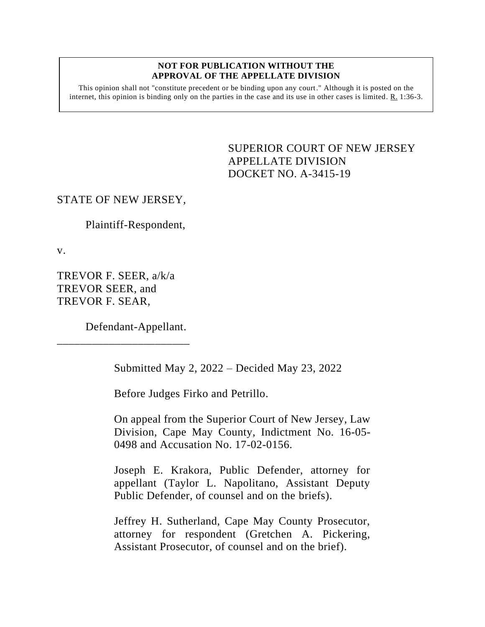#### **NOT FOR PUBLICATION WITHOUT THE APPROVAL OF THE APPELLATE DIVISION**

This opinion shall not "constitute precedent or be binding upon any court." Although it is posted on the internet, this opinion is binding only on the parties in the case and its use in other cases is limited.  $R_1$  1:36-3.

> <span id="page-0-0"></span>SUPERIOR COURT OF NEW JERSEY APPELLATE DIVISION DOCKET NO. A-3415-19

# STATE OF NEW JERSEY,

Plaintiff-Respondent,

v.

TREVOR F. SEER, a/k/a TREVOR SEER, and TREVOR F. SEAR,

Defendant-Appellant.

\_\_\_\_\_\_\_\_\_\_\_\_\_\_\_\_\_\_\_\_\_\_\_

Submitted May 2, 2022 – Decided May 23, 2022

Before Judges Firko and Petrillo.

On appeal from the Superior Court of New Jersey, Law Division, Cape May County, Indictment No. 16-05- 0498 and Accusation No. 17-02-0156.

Joseph E. Krakora, Public Defender, attorney for appellant (Taylor L. Napolitano, Assistant Deputy Public Defender, of counsel and on the briefs).

Jeffrey H. Sutherland, Cape May County Prosecutor, attorney for respondent (Gretchen A. Pickering, Assistant Prosecutor, of counsel and on the brief).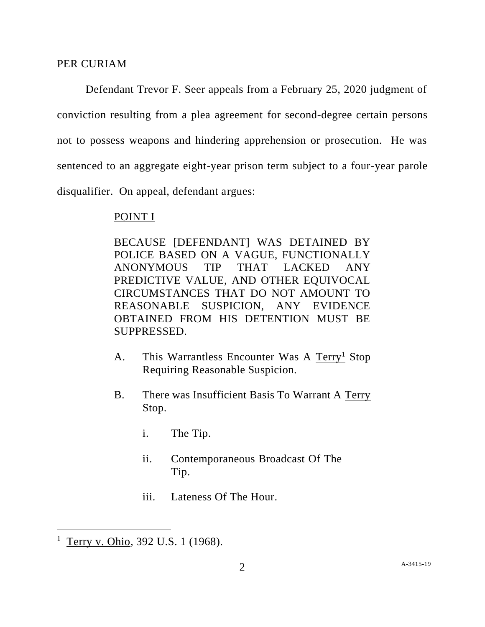## PER CURIAM

Defendant Trevor F. Seer appeals from a February 25, 2020 judgment of conviction resulting from a plea agreement for second-degree certain persons not to possess weapons and hindering apprehension or prosecution. He was sentenced to an aggregate eight-year prison term subject to a four-year parole disqualifier. On appeal, defendant argues:

## POINT I

BECAUSE [DEFENDANT] WAS DETAINED BY POLICE BASED ON A VAGUE, FUNCTIONALLY ANONYMOUS TIP THAT LACKED ANY PREDICTIVE VALUE, AND OTHER EQUIVOCAL CIRCUMSTANCES THAT DO NOT AMOUNT TO REASONABLE SUSPICION, ANY EVIDENCE OBTAINED FROM HIS DETENTION MUST BE SUPPRESSED.

- A. This Warrantless Encounter Was A Terry<sup>1</sup> Stop Requiring Reasonable Suspicion.
- B. There was Insufficient Basis To Warrant A Terry Stop.
	- i. The Tip.
	- ii. Contemporaneous Broadcast Of The Tip.
	- iii. Lateness Of The Hour.

 $1$  Terry v. Ohio, 392 U.S. 1 (1968).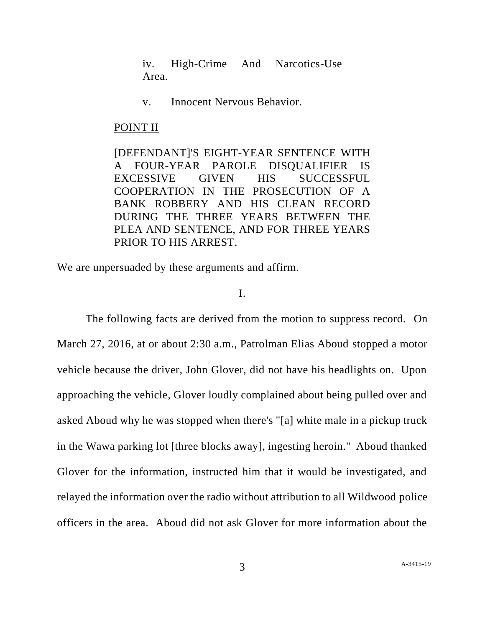iv. High-Crime And Narcotics-Use Area.

v. Innocent Nervous Behavior.

### POINT II

[DEFENDANT]'S EIGHT-YEAR SENTENCE WITH A FOUR-YEAR PAROLE DISQUALIFIER IS EXCESSIVE GIVEN HIS SUCCESSFUL COOPERATION IN THE PROSECUTION OF A BANK ROBBERY AND HIS CLEAN RECORD DURING THE THREE YEARS BETWEEN THE PLEA AND SENTENCE, AND FOR THREE YEARS PRIOR TO HIS ARREST.

We are unpersuaded by these arguments and affirm.

# I.

The following facts are derived from the motion to suppress record. On March 27, 2016, at or about 2:30 a.m., Patrolman Elias Aboud stopped a motor vehicle because the driver, John Glover, did not have his headlights on. Upon approaching the vehicle, Glover loudly complained about being pulled over and asked Aboud why he was stopped when there's "[a] white male in a pickup truck in the Wawa parking lot [three blocks away], ingesting heroin." Aboud thanked Glover for the information, instructed him that it would be investigated, and relayed the information over the radio without attribution to all Wildwood police officers in the area. Aboud did not ask Glover for more information about the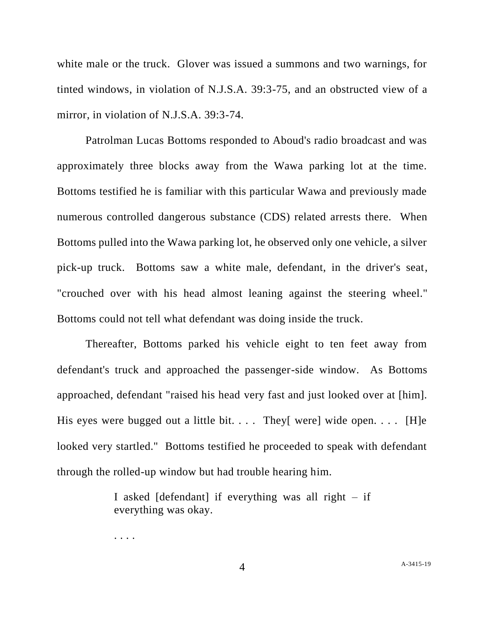white male or the truck. Glover was issued a summons and two warnings, for tinted windows, in violation of N.J.S.A. 39:3-75, and an obstructed view of a mirror, in violation of N.J.S.A. 39:3-74.

Patrolman Lucas Bottoms responded to Aboud's radio broadcast and was approximately three blocks away from the Wawa parking lot at the time. Bottoms testified he is familiar with this particular Wawa and previously made numerous controlled dangerous substance (CDS) related arrests there. When Bottoms pulled into the Wawa parking lot, he observed only one vehicle, a silver pick-up truck. Bottoms saw a white male, defendant, in the driver's seat, "crouched over with his head almost leaning against the steering wheel." Bottoms could not tell what defendant was doing inside the truck.

Thereafter, Bottoms parked his vehicle eight to ten feet away from defendant's truck and approached the passenger-side window. As Bottoms approached, defendant "raised his head very fast and just looked over at [him]. His eyes were bugged out a little bit.  $\ldots$  They[ were] wide open.  $\ldots$  [H]e looked very startled." Bottoms testified he proceeded to speak with defendant through the rolled-up window but had trouble hearing him.

> I asked  $\delta$  [defendant] if everything was all right – if everything was okay.

. . . .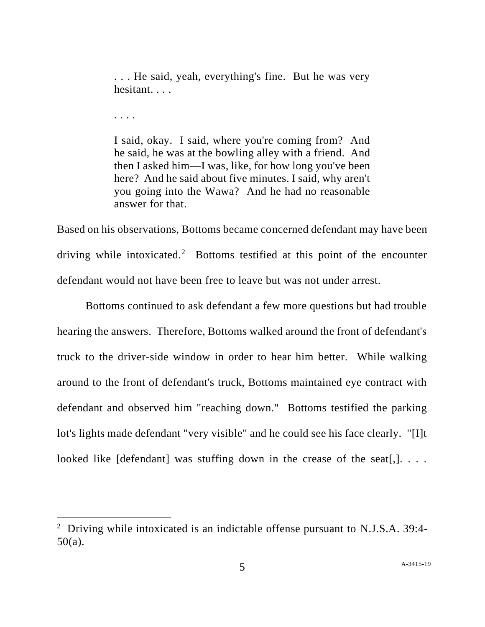. . . He said, yeah, everything's fine. But he was very hesitant. . . .

. . . .

I said, okay. I said, where you're coming from? And he said, he was at the bowling alley with a friend. And then I asked him—I was, like, for how long you've been here? And he said about five minutes. I said, why aren't you going into the Wawa? And he had no reasonable answer for that.

Based on his observations, Bottoms became concerned defendant may have been driving while intoxicated.<sup>2</sup> Bottoms testified at this point of the encounter defendant would not have been free to leave but was not under arrest.

Bottoms continued to ask defendant a few more questions but had trouble hearing the answers. Therefore, Bottoms walked around the front of defendant's truck to the driver-side window in order to hear him better. While walking around to the front of defendant's truck, Bottoms maintained eye contract with defendant and observed him "reaching down." Bottoms testified the parking lot's lights made defendant "very visible" and he could see his face clearly. "[I]t looked like [defendant] was stuffing down in the crease of the seat[,].  $\ldots$ .

<sup>&</sup>lt;sup>2</sup> Driving while intoxicated is an indictable offense pursuant to N.J.S.A. 39:4-50(a).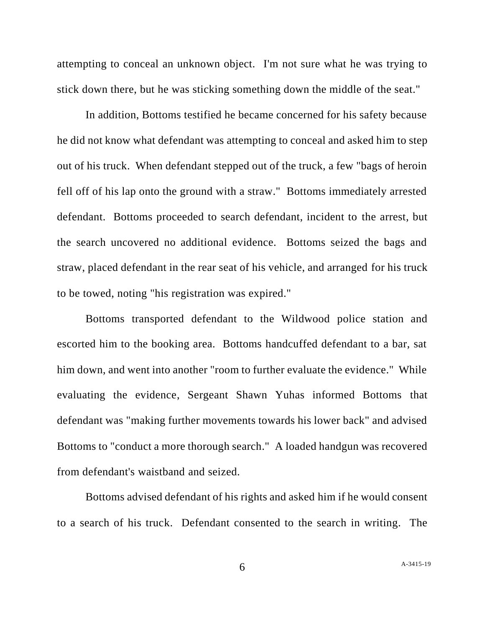attempting to conceal an unknown object. I'm not sure what he was trying to stick down there, but he was sticking something down the middle of the seat."

In addition, Bottoms testified he became concerned for his safety because he did not know what defendant was attempting to conceal and asked him to step out of his truck. When defendant stepped out of the truck, a few "bags of heroin fell off of his lap onto the ground with a straw." Bottoms immediately arrested defendant. Bottoms proceeded to search defendant, incident to the arrest, but the search uncovered no additional evidence. Bottoms seized the bags and straw, placed defendant in the rear seat of his vehicle, and arranged for his truck to be towed, noting "his registration was expired."

Bottoms transported defendant to the Wildwood police station and escorted him to the booking area. Bottoms handcuffed defendant to a bar, sat him down, and went into another "room to further evaluate the evidence." While evaluating the evidence, Sergeant Shawn Yuhas informed Bottoms that defendant was "making further movements towards his lower back" and advised Bottoms to "conduct a more thorough search." A loaded handgun was recovered from defendant's waistband and seized.

Bottoms advised defendant of his rights and asked him if he would consent to a search of his truck. Defendant consented to the search in writing. The

6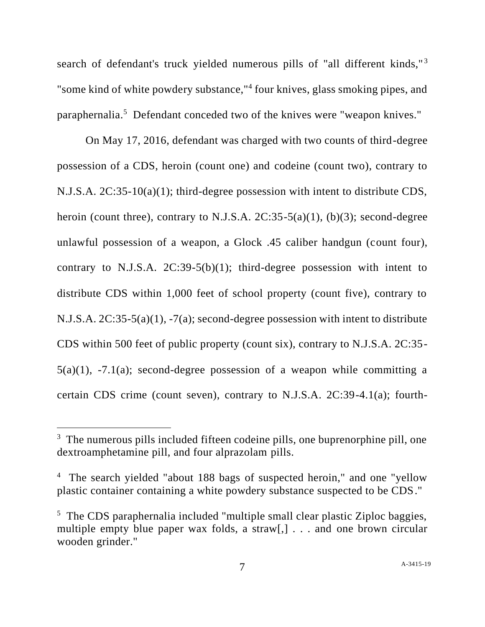search of defendant's truck yielded numerous pills of "all different kinds,"<sup>3</sup> "some kind of white powdery substance,"<sup>4</sup> four knives, glass smoking pipes, and paraphernalia.<sup>5</sup> Defendant conceded two of the knives were "weapon knives."

On May 17, 2016, defendant was charged with two counts of third-degree possession of a CDS, heroin (count one) and codeine (count two), contrary to N.J.S.A. 2C:35-10(a)(1); third-degree possession with intent to distribute CDS, heroin (count three), contrary to N.J.S.A.  $2C:35-5(a)(1)$ , (b)(3); second-degree unlawful possession of a weapon, a Glock .45 caliber handgun (count four), contrary to N.J.S.A.  $2C:39-5(b)(1)$ ; third-degree possession with intent to distribute CDS within 1,000 feet of school property (count five), contrary to N.J.S.A. 2C:35-5(a)(1), -7(a); second-degree possession with intent to distribute CDS within 500 feet of public property (count six), contrary to N.J.S.A. 2C:35-  $5(a)(1)$ ,  $-7.1(a)$ ; second-degree possession of a weapon while committing a certain CDS crime (count seven), contrary to N.J.S.A. 2C:39-4.1(a); fourth-

<sup>&</sup>lt;sup>3</sup> The numerous pills included fifteen codeine pills, one buprenorphine pill, one dextroamphetamine pill, and four alprazolam pills.

<sup>&</sup>lt;sup>4</sup> The search yielded "about 188 bags of suspected heroin," and one "yellow plastic container containing a white powdery substance suspected to be CDS."

<sup>&</sup>lt;sup>5</sup> The CDS paraphernalia included "multiple small clear plastic Ziploc baggies, multiple empty blue paper wax folds, a straw[,] . . . and one brown circular wooden grinder."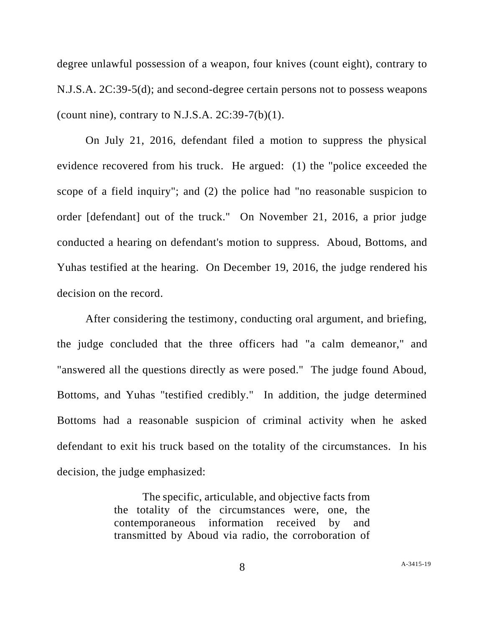degree unlawful possession of a weapon, four knives (count eight), contrary to N.J.S.A. 2C:39-5(d); and second-degree certain persons not to possess weapons (count nine), contrary to N.J.S.A.  $2C:39-7(b)(1)$ .

On July 21, 2016, defendant filed a motion to suppress the physical evidence recovered from his truck. He argued: (1) the "police exceeded the scope of a field inquiry"; and (2) the police had "no reasonable suspicion to order [defendant] out of the truck." On November 21, 2016, a prior judge conducted a hearing on defendant's motion to suppress. Aboud, Bottoms, and Yuhas testified at the hearing. On December 19, 2016, the judge rendered his decision on the record.

After considering the testimony, conducting oral argument, and briefing, the judge concluded that the three officers had "a calm demeanor," and "answered all the questions directly as were posed." The judge found Aboud, Bottoms, and Yuhas "testified credibly." In addition, the judge determined Bottoms had a reasonable suspicion of criminal activity when he asked defendant to exit his truck based on the totality of the circumstances. In his decision, the judge emphasized:

> The specific, articulable, and objective facts from the totality of the circumstances were, one, the contemporaneous information received by and transmitted by Aboud via radio, the corroboration of

8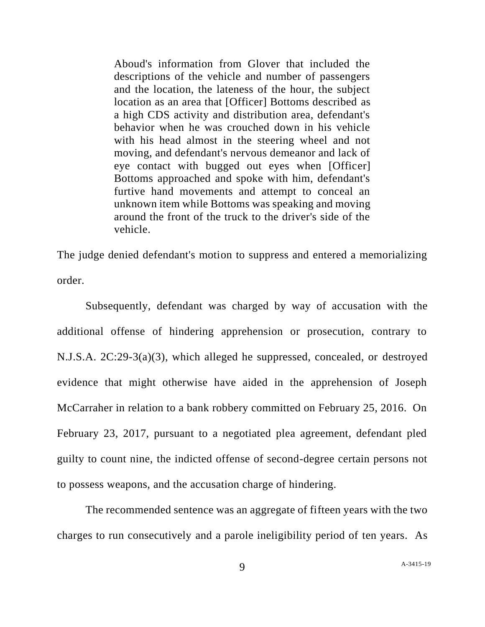Aboud's information from Glover that included the descriptions of the vehicle and number of passengers and the location, the lateness of the hour, the subject location as an area that [Officer] Bottoms described as a high CDS activity and distribution area, defendant's behavior when he was crouched down in his vehicle with his head almost in the steering wheel and not moving, and defendant's nervous demeanor and lack of eye contact with bugged out eyes when [Officer] Bottoms approached and spoke with him, defendant's furtive hand movements and attempt to conceal an unknown item while Bottoms was speaking and moving around the front of the truck to the driver's side of the vehicle.

The judge denied defendant's motion to suppress and entered a memorializing order.

Subsequently, defendant was charged by way of accusation with the additional offense of hindering apprehension or prosecution, contrary to N.J.S.A. 2C:29-3(a)(3), which alleged he suppressed, concealed, or destroyed evidence that might otherwise have aided in the apprehension of Joseph McCarraher in relation to a bank robbery committed on February 25, 2016. On February 23, 2017, pursuant to a negotiated plea agreement, defendant pled guilty to count nine, the indicted offense of second-degree certain persons not to possess weapons, and the accusation charge of hindering.

The recommended sentence was an aggregate of fifteen years with the two charges to run consecutively and a parole ineligibility period of ten years. As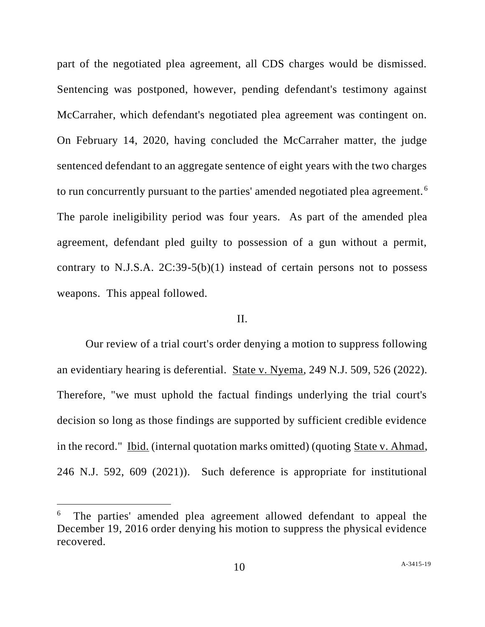part of the negotiated plea agreement, all CDS charges would be dismissed. Sentencing was postponed, however, pending defendant's testimony against McCarraher, which defendant's negotiated plea agreement was contingent on. On February 14, 2020, having concluded the McCarraher matter, the judge sentenced defendant to an aggregate sentence of eight years with the two charges to run concurrently pursuant to the parties' amended negotiated plea agreement. <sup>6</sup> The parole ineligibility period was four years. As part of the amended plea agreement, defendant pled guilty to possession of a gun without a permit, contrary to N.J.S.A.  $2C:39-5(b)(1)$  instead of certain persons not to possess weapons. This appeal followed.

## II.

Our review of a trial court's order denying a motion to suppress following an evidentiary hearing is deferential. State v. Nyema, 249 N.J. 509, 526 (2022). Therefore, "we must uphold the factual findings underlying the trial court's decision so long as those findings are supported by sufficient credible evidence in the record." <u>Ibid.</u> (internal quotation marks omitted) (quoting State v. Ahmad, 246 N.J. 592, 609 (2021)). Such deference is appropriate for institutional

<sup>6</sup> The parties' amended plea agreement allowed defendant to appeal the December 19, 2016 order denying his motion to suppress the physical evidence recovered.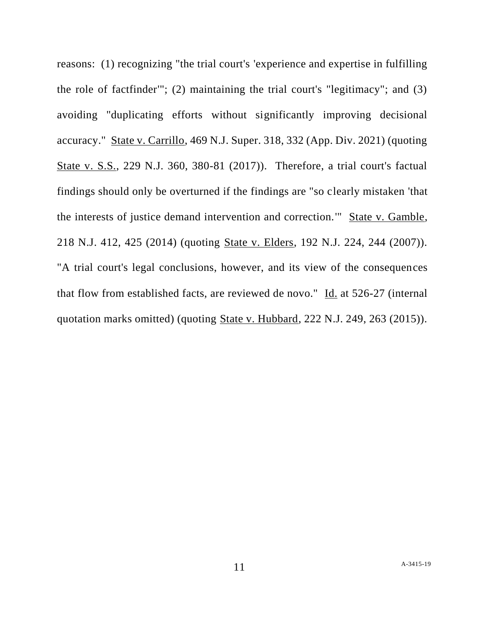reasons: (1) recognizing "the trial court's 'experience and expertise in fulfilling the role of factfinder'"; (2) maintaining the trial court's "legitimacy"; and (3) avoiding "duplicating efforts without significantly improving decisional accuracy." State v. Carrillo, 469 N.J. Super. 318, 332 (App. Div. 2021) (quoting State v. S.S., 229 N.J. 360, 380-81 (2017)). Therefore, a trial court's factual findings should only be overturned if the findings are "so clearly mistaken 'that the interests of justice demand intervention and correction.'" State v. Gamble, 218 N.J. 412, 425 (2014) (quoting State v. Elders, 192 N.J. 224, 244 (2007)). "A trial court's legal conclusions, however, and its view of the consequences that flow from established facts, are reviewed de novo." Id. at 526-27 (internal quotation marks omitted) (quoting State v. Hubbard, 222 N.J. 249, 263 (2015)).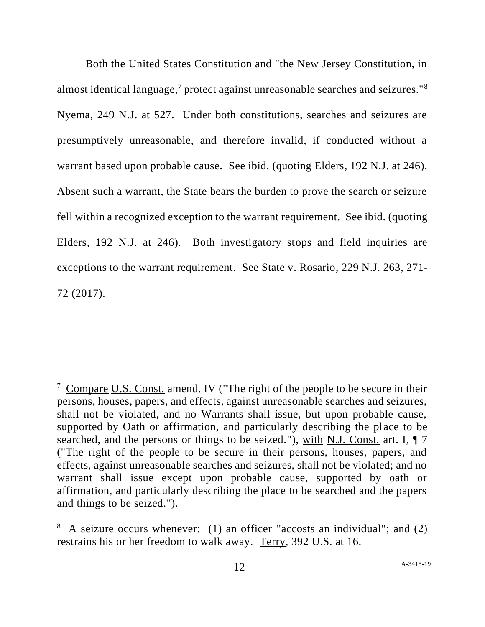Both the United States Constitution and "the New Jersey Constitution, in almost identical language,<sup>7</sup> protect against unreasonable searches and seizures."<sup>8</sup> Nyema, 249 N.J. at 527. Under both constitutions, searches and seizures are presumptively unreasonable, and therefore invalid, if conducted without a warrant based upon probable cause. See ibid. (quoting Elders, 192 N.J. at 246). Absent such a warrant, the State bears the burden to prove the search or seizure fell within a recognized exception to the warrant requirement. See ibid. (quoting Elders, 192 N.J. at 246). Both investigatory stops and field inquiries are exceptions to the warrant requirement. See State v. Rosario, 229 N.J. 263, 271- 72 (2017).

 $7$  Compare U.S. Const. amend. IV ("The right of the people to be secure in their persons, houses, papers, and effects, against unreasonable searches and seizures, shall not be violated, and no Warrants shall issue, but upon probable cause, supported by Oath or affirmation, and particularly describing the place to be searched, and the persons or things to be seized."), with N.J. Const. art. I, ¶ 7 ("The right of the people to be secure in their persons, houses, papers, and effects, against unreasonable searches and seizures, shall not be violated; and no warrant shall issue except upon probable cause, supported by oath or affirmation, and particularly describing the place to be searched and the papers and things to be seized.").

<sup>&</sup>lt;sup>8</sup> A seizure occurs whenever: (1) an officer "accosts an individual"; and (2) restrains his or her freedom to walk away. Terry, 392 U.S. at 16.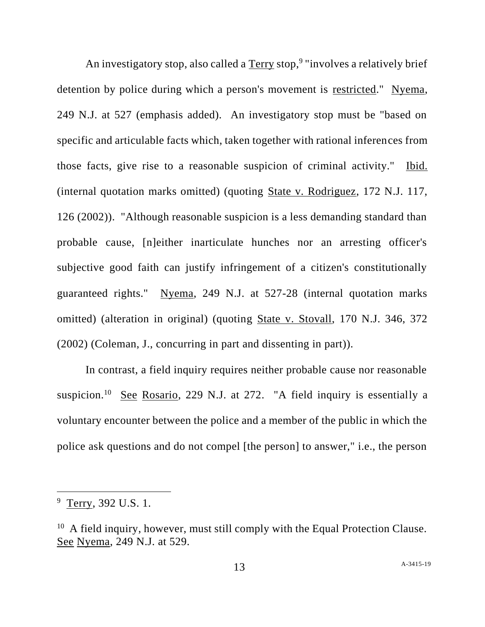An investigatory stop, also called a Terry stop,<sup>9</sup> "involves a relatively brief detention by police during which a person's movement is restricted." Nyema, 249 N.J. at 527 (emphasis added). An investigatory stop must be "based on specific and articulable facts which, taken together with rational inferences from those facts, give rise to a reasonable suspicion of criminal activity." Ibid. (internal quotation marks omitted) (quoting State v. Rodriguez, 172 N.J. 117, 126 (2002)). "Although reasonable suspicion is a less demanding standard than probable cause, [n]either inarticulate hunches nor an arresting officer's subjective good faith can justify infringement of a citizen's constitutionally guaranteed rights." Nyema, 249 N.J. at 527-28 (internal quotation marks omitted) (alteration in original) (quoting State v. Stovall, 170 N.J. 346, 372 (2002) (Coleman, J., concurring in part and dissenting in part)).

In contrast, a field inquiry requires neither probable cause nor reasonable suspicion.<sup>10</sup> See Rosario, 229 N.J. at 272. "A field inquiry is essentially a voluntary encounter between the police and a member of the public in which the police ask questions and do not compel [the person] to answer," i.e., the person

<sup>&</sup>lt;sup>9</sup> Terry, 392 U.S. 1.

 $10$  A field inquiry, however, must still comply with the Equal Protection Clause. See Nyema, 249 N.J. at 529.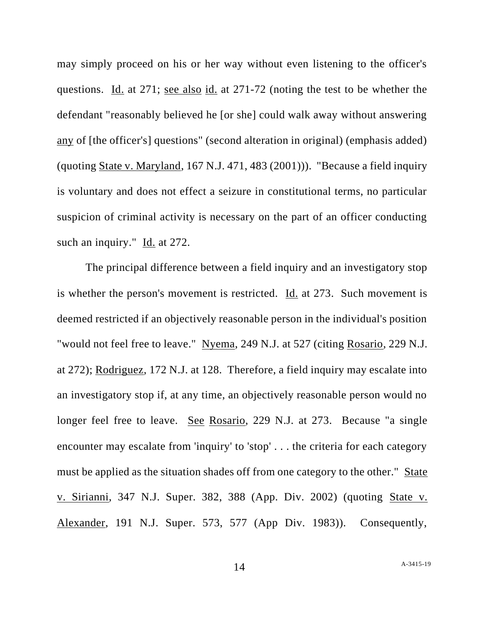may simply proceed on his or her way without even listening to the officer's questions. Id. at 271; see also id. at 271-72 (noting the test to be whether the defendant "reasonably believed he [or she] could walk away without answering any of [the officer's] questions" (second alteration in original) (emphasis added) (quoting State v. Maryland, 167 N.J. 471, 483 (2001))). "Because a field inquiry is voluntary and does not effect a seizure in constitutional terms, no particular suspicion of criminal activity is necessary on the part of an officer conducting such an inquiry." Id. at 272.

The principal difference between a field inquiry and an investigatory stop is whether the person's movement is restricted. Id. at 273. Such movement is deemed restricted if an objectively reasonable person in the individual's position "would not feel free to leave." Nyema, 249 N.J. at 527 (citing Rosario, 229 N.J. at 272); Rodriguez, 172 N.J. at 128. Therefore, a field inquiry may escalate into an investigatory stop if, at any time, an objectively reasonable person would no longer feel free to leave. See Rosario, 229 N.J. at 273. Because "a single encounter may escalate from 'inquiry' to 'stop' . . . the criteria for each category must be applied as the situation shades off from one category to the other." State v. Sirianni, 347 N.J. Super. 382, 388 (App. Div. 2002) (quoting State v. Alexander, 191 N.J. Super. 573, 577 (App Div. 1983)). Consequently,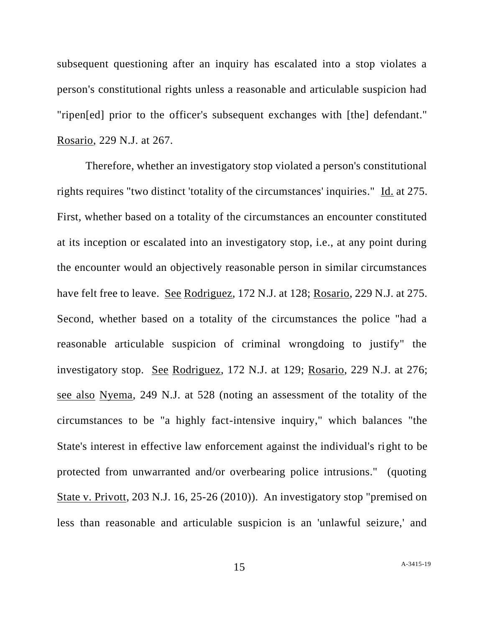subsequent questioning after an inquiry has escalated into a stop violates a person's constitutional rights unless a reasonable and articulable suspicion had "ripen[ed] prior to the officer's subsequent exchanges with [the] defendant." Rosario, 229 N.J. at 267.

Therefore, whether an investigatory stop violated a person's constitutional rights requires "two distinct 'totality of the circumstances' inquiries." Id. at 275. First, whether based on a totality of the circumstances an encounter constituted at its inception or escalated into an investigatory stop, i.e., at any point during the encounter would an objectively reasonable person in similar circumstances have felt free to leave. See Rodriguez, 172 N.J. at 128; Rosario, 229 N.J. at 275. Second, whether based on a totality of the circumstances the police "had a reasonable articulable suspicion of criminal wrongdoing to justify" the investigatory stop. See Rodriguez, 172 N.J. at 129; Rosario, 229 N.J. at 276; see also Nyema, 249 N.J. at 528 (noting an assessment of the totality of the circumstances to be "a highly fact-intensive inquiry," which balances "the State's interest in effective law enforcement against the individual's right to be protected from unwarranted and/or overbearing police intrusions." (quoting State v. Privott, 203 N.J. 16, 25-26 (2010)). An investigatory stop "premised on less than reasonable and articulable suspicion is an 'unlawful seizure,' and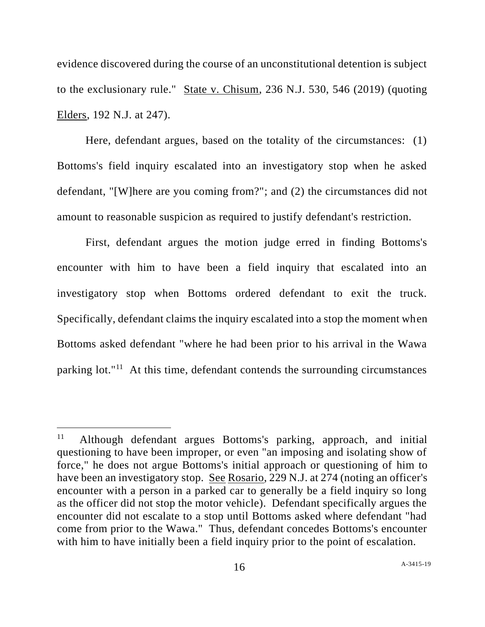evidence discovered during the course of an unconstitutional detention is subject to the exclusionary rule." State v. Chisum, 236 N.J. 530, 546 (2019) (quoting Elders, 192 N.J. at 247).

Here, defendant argues, based on the totality of the circumstances: (1) Bottoms's field inquiry escalated into an investigatory stop when he asked defendant, "[W]here are you coming from?"; and (2) the circumstances did not amount to reasonable suspicion as required to justify defendant's restriction.

First, defendant argues the motion judge erred in finding Bottoms's encounter with him to have been a field inquiry that escalated into an investigatory stop when Bottoms ordered defendant to exit the truck. Specifically, defendant claims the inquiry escalated into a stop the moment when Bottoms asked defendant "where he had been prior to his arrival in the Wawa parking lot."<sup>11</sup> At this time, defendant contends the surrounding circumstances

<sup>11</sup> Although defendant argues Bottoms's parking, approach, and initial questioning to have been improper, or even "an imposing and isolating show of force," he does not argue Bottoms's initial approach or questioning of him to have been an investigatory stop. See Rosario, 229 N.J. at 274 (noting an officer's encounter with a person in a parked car to generally be a field inquiry so long as the officer did not stop the motor vehicle). Defendant specifically argues the encounter did not escalate to a stop until Bottoms asked where defendant "had come from prior to the Wawa." Thus, defendant concedes Bottoms's encounter with him to have initially been a field inquiry prior to the point of escalation.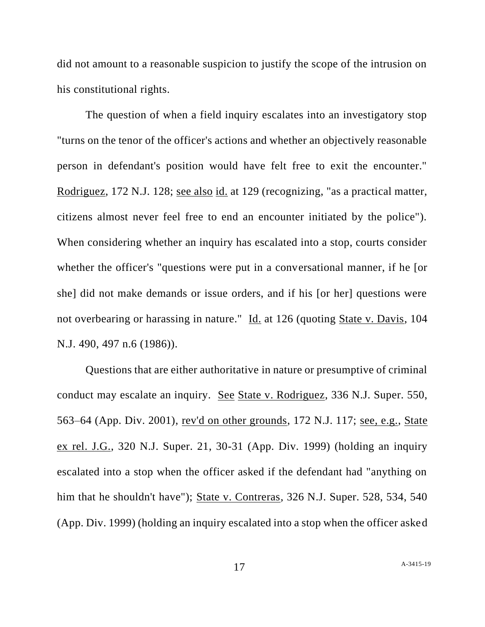did not amount to a reasonable suspicion to justify the scope of the intrusion on his constitutional rights.

The question of when a field inquiry escalates into an investigatory stop "turns on the tenor of the officer's actions and whether an objectively reasonable person in defendant's position would have felt free to exit the encounter." Rodriguez, 172 N.J. 128; see also id. at 129 (recognizing, "as a practical matter, citizens almost never feel free to end an encounter initiated by the police"). When considering whether an inquiry has escalated into a stop, courts consider whether the officer's "questions were put in a conversational manner, if he [or she] did not make demands or issue orders, and if his [or her] questions were not overbearing or harassing in nature." Id. at 126 (quoting State v. Davis, 104 N.J. 490, 497 n.6 (1986)).

Questions that are either authoritative in nature or presumptive of criminal conduct may escalate an inquiry. See State v. Rodriguez, 336 N.J. Super. 550, 563–64 (App. Div. 2001), rev'd on other grounds, 172 N.J. 117; see, e.g., State ex rel. J.G., 320 N.J. Super. 21, 30-31 (App. Div. 1999) (holding an inquiry escalated into a stop when the officer asked if the defendant had "anything on him that he shouldn't have"); State v. Contreras, 326 N.J. Super. 528, 534, 540 (App. Div. 1999) (holding an inquiry escalated into a stop when the officer asked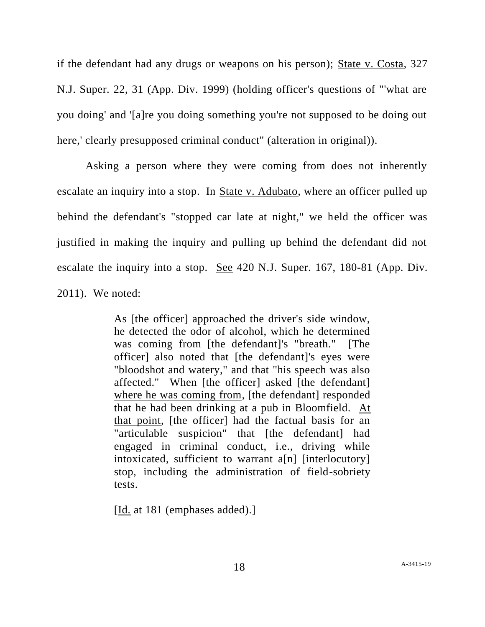if the defendant had any drugs or weapons on his person); State v. Costa, 327 N.J. Super. 22, 31 (App. Div. 1999) (holding officer's questions of "'what are you doing' and '[a]re you doing something you're not supposed to be doing out here,' clearly presupposed criminal conduct" (alteration in original)).

Asking a person where they were coming from does not inherently escalate an inquiry into a stop. In State v. Adubato, where an officer pulled up behind the defendant's "stopped car late at night," we held the officer was justified in making the inquiry and pulling up behind the defendant did not escalate the inquiry into a stop. See 420 N.J. Super. 167, 180-81 (App. Div. 2011). We noted:

> As [the officer] approached the driver's side window, he detected the odor of alcohol, which he determined was coming from [the defendant]'s "breath." [The officer] also noted that [the defendant]'s eyes were "bloodshot and watery," and that "his speech was also affected." When [the officer] asked [the defendant] where he was coming from, [the defendant] responded that he had been drinking at a pub in Bloomfield. At that point, [the officer] had the factual basis for an "articulable suspicion" that [the defendant] had engaged in criminal conduct, i.e., driving while intoxicated, sufficient to warrant a[n] [interlocutory] stop, including the administration of field-sobriety tests.

[Id. at 181 (emphases added).]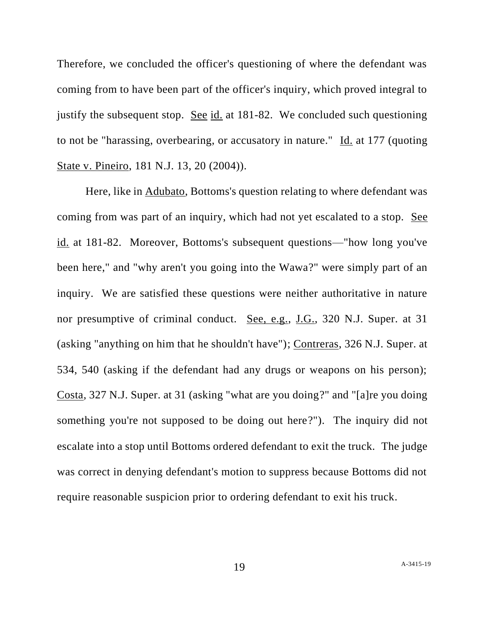Therefore, we concluded the officer's questioning of where the defendant was coming from to have been part of the officer's inquiry, which proved integral to justify the subsequent stop. See id. at 181-82. We concluded such questioning to not be "harassing, overbearing, or accusatory in nature." Id. at 177 (quoting State v. Pineiro, 181 N.J. 13, 20 (2004)).

Here, like in Adubato, Bottoms's question relating to where defendant was coming from was part of an inquiry, which had not yet escalated to a stop. See id. at 181-82. Moreover, Bottoms's subsequent questions—"how long you've been here," and "why aren't you going into the Wawa?" were simply part of an inquiry. We are satisfied these questions were neither authoritative in nature nor presumptive of criminal conduct. See, e.g., J.G., 320 N.J. Super. at 31 (asking "anything on him that he shouldn't have"); Contreras, 326 N.J. Super. at 534, 540 (asking if the defendant had any drugs or weapons on his person); Costa, 327 N.J. Super. at 31 (asking "what are you doing?" and "[a]re you doing something you're not supposed to be doing out here?"). The inquiry did not escalate into a stop until Bottoms ordered defendant to exit the truck. The judge was correct in denying defendant's motion to suppress because Bottoms did not require reasonable suspicion prior to ordering defendant to exit his truck.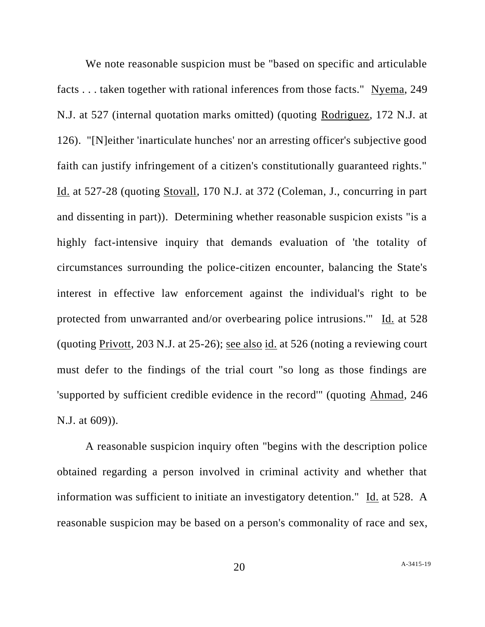We note reasonable suspicion must be "based on specific and articulable facts . . . taken together with rational inferences from those facts." Nyema, 249 N.J. at 527 (internal quotation marks omitted) (quoting Rodriguez, 172 N.J. at 126). "[N]either 'inarticulate hunches' nor an arresting officer's subjective good faith can justify infringement of a citizen's constitutionally guaranteed rights." Id. at 527-28 (quoting Stovall, 170 N.J. at 372 (Coleman, J., concurring in part and dissenting in part)). Determining whether reasonable suspicion exists "is a highly fact-intensive inquiry that demands evaluation of 'the totality of circumstances surrounding the police-citizen encounter, balancing the State's interest in effective law enforcement against the individual's right to be protected from unwarranted and/or overbearing police intrusions.'" Id. at 528 (quoting Privott, 203 N.J. at 25-26); see also id. at 526 (noting a reviewing court must defer to the findings of the trial court "so long as those findings are 'supported by sufficient credible evidence in the record'" (quoting Ahmad, 246 N.J. at 609)).

A reasonable suspicion inquiry often "begins with the description police obtained regarding a person involved in criminal activity and whether that information was sufficient to initiate an investigatory detention." Id. at 528. A reasonable suspicion may be based on a person's commonality of race and sex,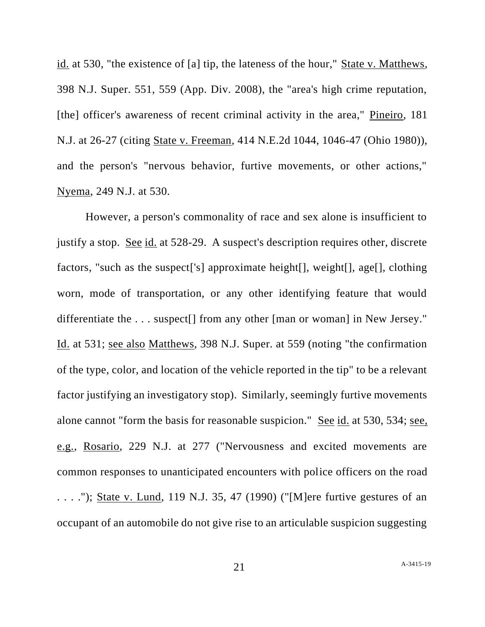id. at 530, "the existence of [a] tip, the lateness of the hour," State v. Matthews, 398 N.J. Super. 551, 559 (App. Div. 2008), the "area's high crime reputation, [the] officer's awareness of recent criminal activity in the area," Pineiro, 181 N.J. at 26-27 (citing State v. Freeman, 414 N.E.2d 1044, 1046-47 (Ohio 1980)), and the person's "nervous behavior, furtive movements, or other actions," Nyema, 249 N.J. at 530.

However, a person's commonality of race and sex alone is insufficient to justify a stop. See id. at 528-29. A suspect's description requires other, discrete factors, "such as the suspect['s] approximate height[], weight[], age[], clothing worn, mode of transportation, or any other identifying feature that would differentiate the . . . suspect[] from any other [man or woman] in New Jersey." Id. at 531; see also Matthews, 398 N.J. Super. at 559 (noting "the confirmation of the type, color, and location of the vehicle reported in the tip" to be a relevant factor justifying an investigatory stop). Similarly, seemingly furtive movements alone cannot "form the basis for reasonable suspicion." See id. at 530, 534; see, e.g., Rosario, 229 N.J. at 277 ("Nervousness and excited movements are common responses to unanticipated encounters with police officers on the road . . . ."); State v. Lund, 119 N.J. 35, 47 (1990) ("[M]ere furtive gestures of an occupant of an automobile do not give rise to an articulable suspicion suggesting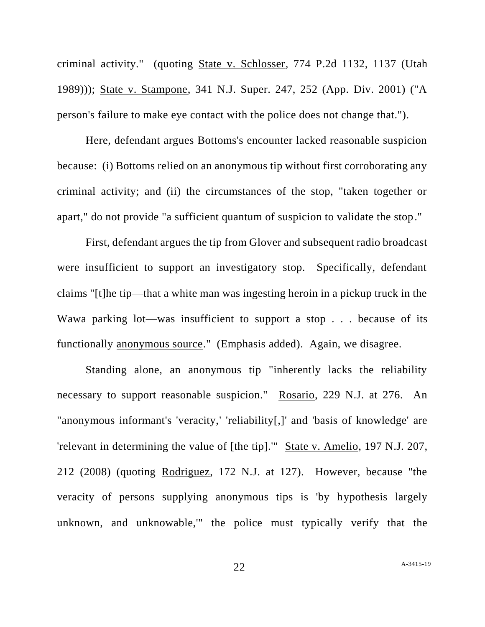criminal activity." (quoting State v. Schlosser, 774 P.2d 1132, 1137 (Utah 1989))); State v. Stampone, 341 N.J. Super. 247, 252 (App. Div. 2001) ("A person's failure to make eye contact with the police does not change that.").

Here, defendant argues Bottoms's encounter lacked reasonable suspicion because: (i) Bottoms relied on an anonymous tip without first corroborating any criminal activity; and (ii) the circumstances of the stop, "taken together or apart," do not provide "a sufficient quantum of suspicion to validate the stop."

First, defendant argues the tip from Glover and subsequent radio broadcast were insufficient to support an investigatory stop. Specifically, defendant claims "[t]he tip—that a white man was ingesting heroin in a pickup truck in the Wawa parking lot—was insufficient to support a stop . . . because of its functionally anonymous source." (Emphasis added). Again, we disagree.

Standing alone, an anonymous tip "inherently lacks the reliability necessary to support reasonable suspicion." Rosario, 229 N.J. at 276. An "anonymous informant's 'veracity,' 'reliability[,]' and 'basis of knowledge' are 'relevant in determining the value of [the tip].'" State v. Amelio, 197 N.J. 207, 212 (2008) (quoting Rodriguez, 172 N.J. at 127). However, because "the veracity of persons supplying anonymous tips is 'by hypothesis largely unknown, and unknowable,'" the police must typically verify that the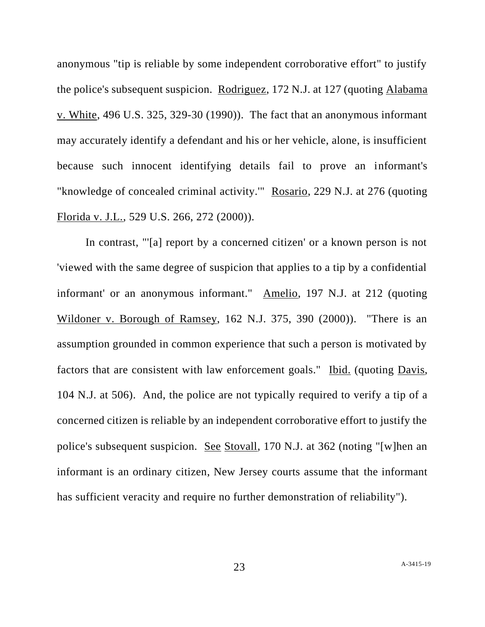anonymous "tip is reliable by some independent corroborative effort" to justify the police's subsequent suspicion. Rodriguez, 172 N.J. at 127 (quoting Alabama v. White, 496 U.S. 325, 329-30 (1990)). The fact that an anonymous informant may accurately identify a defendant and his or her vehicle, alone, is insufficient because such innocent identifying details fail to prove an informant's "knowledge of concealed criminal activity.'" Rosario, 229 N.J. at 276 (quoting Florida v. J.L., 529 U.S. 266, 272 (2000)).

In contrast, "'[a] report by a concerned citizen' or a known person is not 'viewed with the same degree of suspicion that applies to a tip by a confidential informant' or an anonymous informant." Amelio, 197 N.J. at 212 (quoting Wildoner v. Borough of Ramsey, 162 N.J. 375, 390 (2000)). "There is an assumption grounded in common experience that such a person is motivated by factors that are consistent with law enforcement goals." Ibid. (quoting Davis, 104 N.J. at 506). And, the police are not typically required to verify a tip of a concerned citizen is reliable by an independent corroborative effort to justify the police's subsequent suspicion. See Stovall, 170 N.J. at 362 (noting "[w]hen an informant is an ordinary citizen, New Jersey courts assume that the informant has sufficient veracity and require no further demonstration of reliability").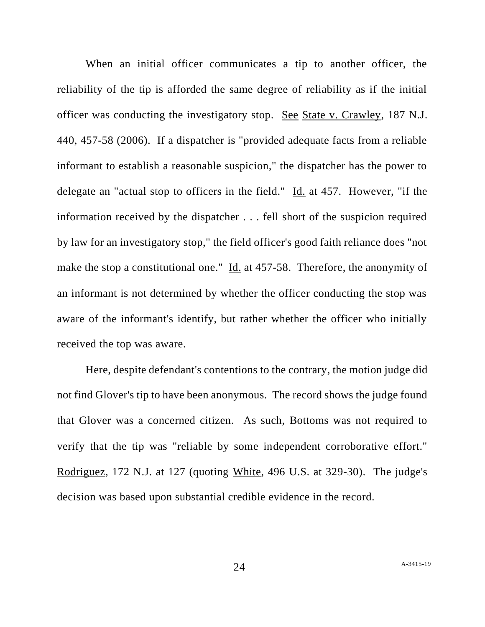When an initial officer communicates a tip to another officer, the reliability of the tip is afforded the same degree of reliability as if the initial officer was conducting the investigatory stop. See State v. Crawley, 187 N.J. 440, 457-58 (2006). If a dispatcher is "provided adequate facts from a reliable informant to establish a reasonable suspicion," the dispatcher has the power to delegate an "actual stop to officers in the field." Id. at 457. However, "if the information received by the dispatcher . . . fell short of the suspicion required by law for an investigatory stop," the field officer's good faith reliance does "not make the stop a constitutional one." Id. at 457-58. Therefore, the anonymity of an informant is not determined by whether the officer conducting the stop was aware of the informant's identify, but rather whether the officer who initially received the top was aware.

Here, despite defendant's contentions to the contrary, the motion judge did not find Glover's tip to have been anonymous. The record shows the judge found that Glover was a concerned citizen. As such, Bottoms was not required to verify that the tip was "reliable by some independent corroborative effort." Rodriguez, 172 N.J. at 127 (quoting White, 496 U.S. at 329-30). The judge's decision was based upon substantial credible evidence in the record.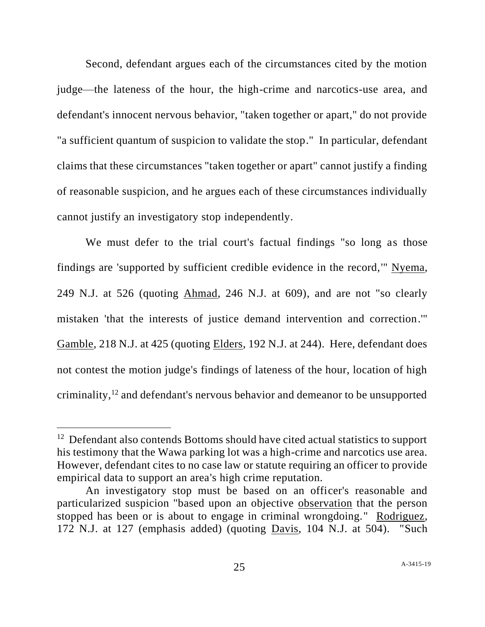Second, defendant argues each of the circumstances cited by the motion judge—the lateness of the hour, the high-crime and narcotics-use area, and defendant's innocent nervous behavior, "taken together or apart," do not provide "a sufficient quantum of suspicion to validate the stop." In particular, defendant claims that these circumstances "taken together or apart" cannot justify a finding of reasonable suspicion, and he argues each of these circumstances individually cannot justify an investigatory stop independently.

We must defer to the trial court's factual findings "so long as those findings are 'supported by sufficient credible evidence in the record,'" Nyema, 249 N.J. at 526 (quoting Ahmad, 246 N.J. at 609), and are not "so clearly mistaken 'that the interests of justice demand intervention and correction.'" Gamble, 218 N.J. at 425 (quoting Elders, 192 N.J. at 244). Here, defendant does not contest the motion judge's findings of lateness of the hour, location of high criminality,<sup>12</sup> and defendant's nervous behavior and demeanor to be unsupported

<sup>&</sup>lt;sup>12</sup> Defendant also contends Bottoms should have cited actual statistics to support his testimony that the Wawa parking lot was a high-crime and narcotics use area. However, defendant cites to no case law or statute requiring an officer to provide empirical data to support an area's high crime reputation.

An investigatory stop must be based on an officer's reasonable and particularized suspicion "based upon an objective observation that the person stopped has been or is about to engage in criminal wrongdoing." Rodriguez, 172 N.J. at 127 (emphasis added) (quoting Davis, 104 N.J. at 504). "Such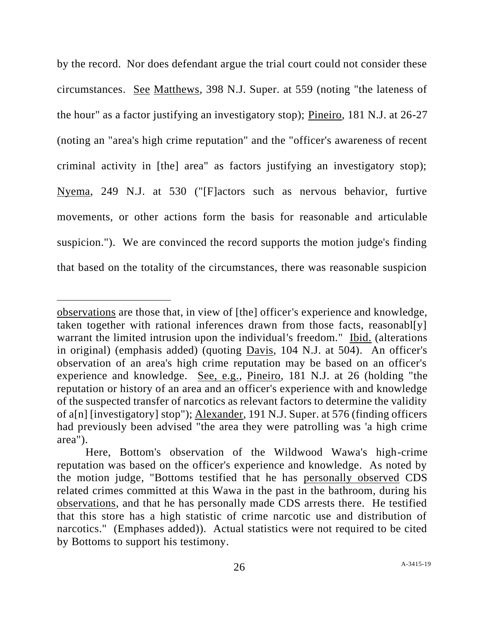by the record. Nor does defendant argue the trial court could not consider these circumstances. See Matthews, 398 N.J. Super. at 559 (noting "the lateness of the hour" as a factor justifying an investigatory stop); Pineiro, 181 N.J. at 26-27 (noting an "area's high crime reputation" and the "officer's awareness of recent criminal activity in [the] area" as factors justifying an investigatory stop); Nyema, 249 N.J. at 530 ("[F]actors such as nervous behavior, furtive movements, or other actions form the basis for reasonable and articulable suspicion."). We are convinced the record supports the motion judge's finding that based on the totality of the circumstances, there was reasonable suspicion

observations are those that, in view of [the] officer's experience and knowledge, taken together with rational inferences drawn from those facts, reasonables warrant the limited intrusion upon the individual's freedom." Ibid. (alterations in original) (emphasis added) (quoting Davis, 104 N.J. at 504). An officer's observation of an area's high crime reputation may be based on an officer's experience and knowledge. See, e.g., Pineiro, 181 N.J. at 26 (holding "the reputation or history of an area and an officer's experience with and knowledge of the suspected transfer of narcotics as relevant factors to determine the validity of a[n] [investigatory] stop"); Alexander, 191 N.J. Super. at 576 (finding officers had previously been advised "the area they were patrolling was 'a high crime area").

Here, Bottom's observation of the Wildwood Wawa's high-crime reputation was based on the officer's experience and knowledge. As noted by the motion judge, "Bottoms testified that he has personally observed CDS related crimes committed at this Wawa in the past in the bathroom, during his observations, and that he has personally made CDS arrests there. He testified that this store has a high statistic of crime narcotic use and distribution of narcotics." (Emphases added)). Actual statistics were not required to be cited by Bottoms to support his testimony.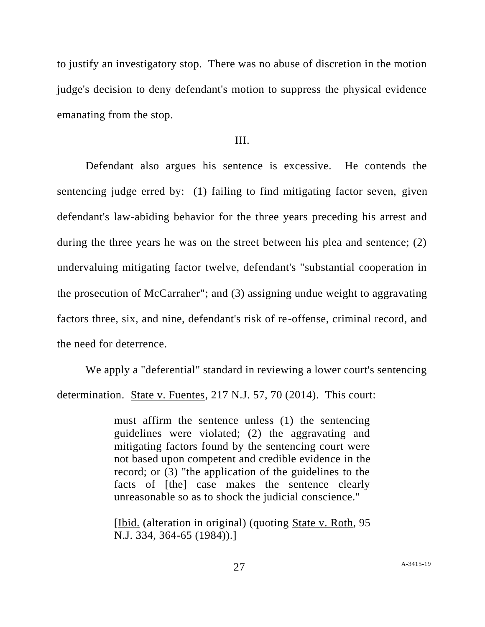to justify an investigatory stop. There was no abuse of discretion in the motion judge's decision to deny defendant's motion to suppress the physical evidence emanating from the stop.

#### III.

Defendant also argues his sentence is excessive. He contends the sentencing judge erred by: (1) failing to find mitigating factor seven, given defendant's law-abiding behavior for the three years preceding his arrest and during the three years he was on the street between his plea and sentence; (2) undervaluing mitigating factor twelve, defendant's "substantial cooperation in the prosecution of McCarraher"; and (3) assigning undue weight to aggravating factors three, six, and nine, defendant's risk of re-offense, criminal record, and the need for deterrence.

We apply a "deferential" standard in reviewing a lower court's sentencing determination. State v. Fuentes, 217 N.J. 57, 70 (2014). This court:

> must affirm the sentence unless (1) the sentencing guidelines were violated; (2) the aggravating and mitigating factors found by the sentencing court were not based upon competent and credible evidence in the record; or (3) "the application of the guidelines to the facts of [the] case makes the sentence clearly unreasonable so as to shock the judicial conscience."

> [Ibid. (alteration in original) (quoting State v. Roth, 95 N.J. 334, 364-65 (1984)).]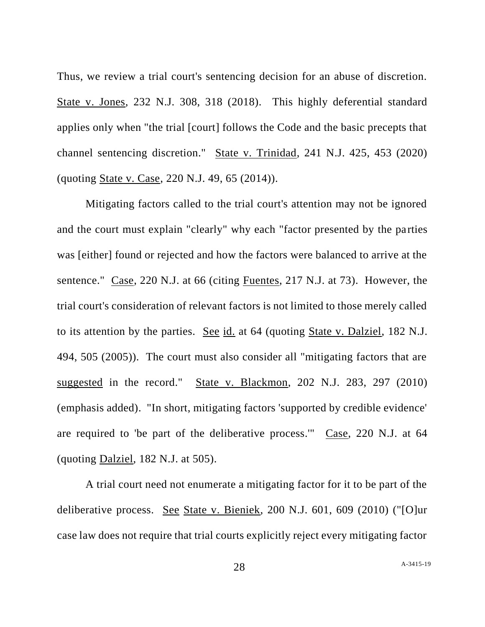Thus, we review a trial court's sentencing decision for an abuse of discretion. State v. Jones, 232 N.J. 308, 318 (2018). This highly deferential standard applies only when "the trial [court] follows the Code and the basic precepts that channel sentencing discretion." State v. Trinidad, 241 N.J. 425, 453 (2020) (quoting State v. Case, 220 N.J. 49, 65 (2014)).

Mitigating factors called to the trial court's attention may not be ignored and the court must explain "clearly" why each "factor presented by the parties was [either] found or rejected and how the factors were balanced to arrive at the sentence." Case, 220 N.J. at 66 (citing Fuentes, 217 N.J. at 73). However, the trial court's consideration of relevant factors is not limited to those merely called to its attention by the parties. See id. at 64 (quoting State v. Dalziel, 182 N.J. 494, 505 (2005)). The court must also consider all "mitigating factors that are suggested in the record." State v. Blackmon, 202 N.J. 283, 297 (2010) (emphasis added). "In short, mitigating factors 'supported by credible evidence' are required to 'be part of the deliberative process.'" Case, 220 N.J. at 64 (quoting Dalziel, 182 N.J. at 505).

A trial court need not enumerate a mitigating factor for it to be part of the deliberative process. See State v. Bieniek, 200 N.J. 601, 609 (2010) ("[O]ur case law does not require that trial courts explicitly reject every mitigating factor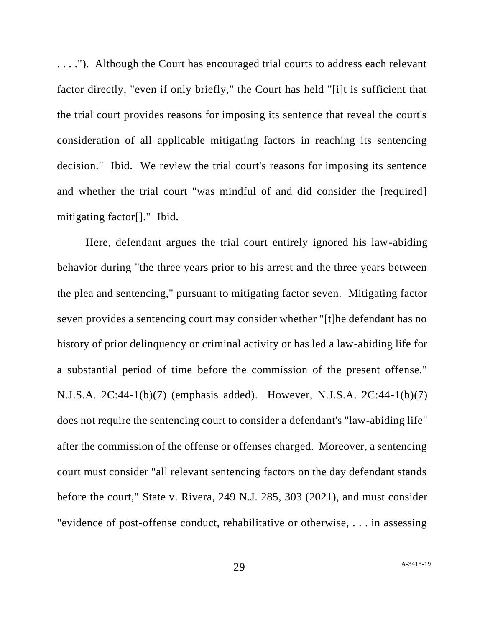. . . ."). Although the Court has encouraged trial courts to address each relevant factor directly, "even if only briefly," the Court has held "[i]t is sufficient that the trial court provides reasons for imposing its sentence that reveal the court's consideration of all applicable mitigating factors in reaching its sentencing decision." Ibid. We review the trial court's reasons for imposing its sentence and whether the trial court "was mindful of and did consider the [required] mitigating factor[]." Ibid.

Here, defendant argues the trial court entirely ignored his law-abiding behavior during "the three years prior to his arrest and the three years between the plea and sentencing," pursuant to mitigating factor seven. Mitigating factor seven provides a sentencing court may consider whether "[t]he defendant has no history of prior delinquency or criminal activity or has led a law-abiding life for a substantial period of time before the commission of the present offense." N.J.S.A. 2C:44-1(b)(7) (emphasis added). However, N.J.S.A. 2C:44-1(b)(7) does not require the sentencing court to consider a defendant's "law-abiding life" after the commission of the offense or offenses charged. Moreover, a sentencing court must consider "all relevant sentencing factors on the day defendant stands before the court," State v. Rivera, 249 N.J. 285, 303 (2021), and must consider "evidence of post-offense conduct, rehabilitative or otherwise, . . . in assessing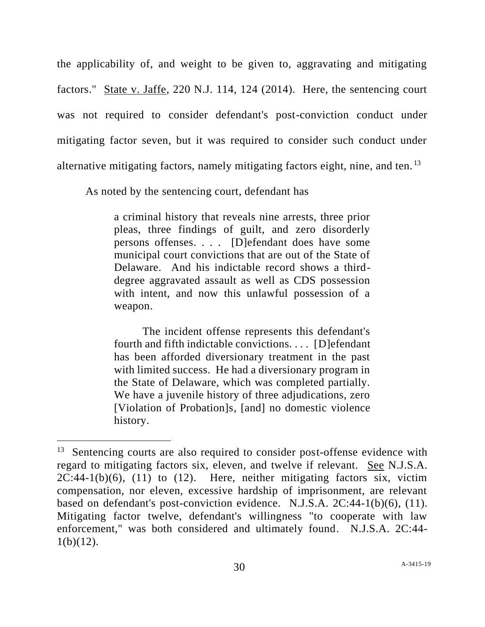the applicability of, and weight to be given to, aggravating and mitigating factors." State v. Jaffe, 220 N.J. 114, 124 (2014). Here, the sentencing court was not required to consider defendant's post-conviction conduct under mitigating factor seven, but it was required to consider such conduct under alternative mitigating factors, namely mitigating factors eight, nine, and ten. <sup>13</sup>

As noted by the sentencing court, defendant has

a criminal history that reveals nine arrests, three prior pleas, three findings of guilt, and zero disorderly persons offenses. . . . [D]efendant does have some municipal court convictions that are out of the State of Delaware. And his indictable record shows a thirddegree aggravated assault as well as CDS possession with intent, and now this unlawful possession of a weapon.

The incident offense represents this defendant's fourth and fifth indictable convictions. . . . [D]efendant has been afforded diversionary treatment in the past with limited success. He had a diversionary program in the State of Delaware, which was completed partially. We have a juvenile history of three adjudications, zero [Violation of Probation]s, [and] no domestic violence history.

<sup>&</sup>lt;sup>13</sup> Sentencing courts are also required to consider post-offense evidence with regard to mitigating factors six, eleven, and twelve if relevant. See N.J.S.A.  $2C:44-1(b)(6)$ , (11) to (12). Here, neither mitigating factors six, victim compensation, nor eleven, excessive hardship of imprisonment, are relevant based on defendant's post-conviction evidence. N.J.S.A. 2C:44-1(b)(6), (11). Mitigating factor twelve, defendant's willingness "to cooperate with law enforcement," was both considered and ultimately found. N.J.S.A. 2C:44-  $1(b)(12)$ .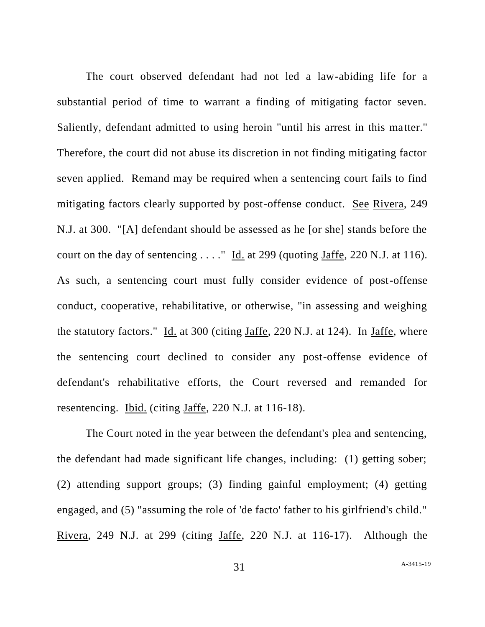The court observed defendant had not led a law-abiding life for a substantial period of time to warrant a finding of mitigating factor seven. Saliently, defendant admitted to using heroin "until his arrest in this matter." Therefore, the court did not abuse its discretion in not finding mitigating factor seven applied. Remand may be required when a sentencing court fails to find mitigating factors clearly supported by post-offense conduct. See Rivera, 249 N.J. at 300. "[A] defendant should be assessed as he [or she] stands before the court on the day of sentencing  $\dots$ ." Id. at 299 (quoting Jaffe, 220 N.J. at 116). As such, a sentencing court must fully consider evidence of post-offense conduct, cooperative, rehabilitative, or otherwise, "in assessing and weighing the statutory factors." Id. at 300 (citing Jaffe, 220 N.J. at 124). In Jaffe, where the sentencing court declined to consider any post-offense evidence of defendant's rehabilitative efforts, the Court reversed and remanded for resentencing. Ibid. (citing Jaffe, 220 N.J. at 116-18).

The Court noted in the year between the defendant's plea and sentencing, the defendant had made significant life changes, including: (1) getting sober; (2) attending support groups; (3) finding gainful employment; (4) getting engaged, and (5) "assuming the role of 'de facto' father to his girlfriend's child." Rivera, 249 N.J. at 299 (citing Jaffe, 220 N.J. at 116-17). Although the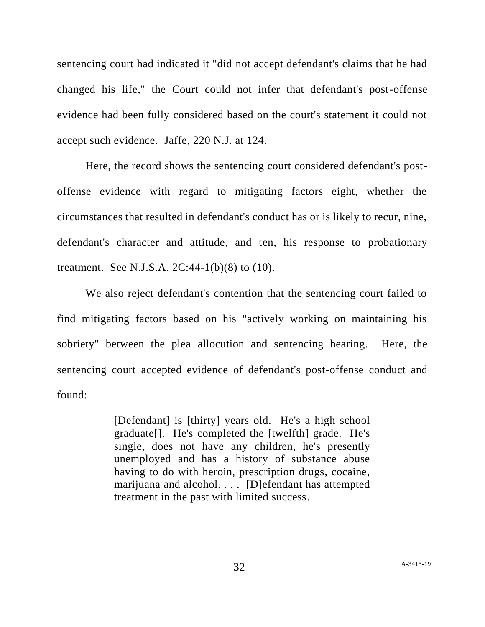sentencing court had indicated it "did not accept defendant's claims that he had changed his life," the Court could not infer that defendant's post-offense evidence had been fully considered based on the court's statement it could not accept such evidence. Jaffe, 220 N.J. at 124.

Here, the record shows the sentencing court considered defendant's postoffense evidence with regard to mitigating factors eight, whether the circumstances that resulted in defendant's conduct has or is likely to recur, nine, defendant's character and attitude, and ten, his response to probationary treatment. See N.J.S.A.  $2C:44-1(b)(8)$  to  $(10)$ .

We also reject defendant's contention that the sentencing court failed to find mitigating factors based on his "actively working on maintaining his sobriety" between the plea allocution and sentencing hearing. Here, the sentencing court accepted evidence of defendant's post-offense conduct and found:

> [Defendant] is [thirty] years old. He's a high school graduate[]. He's completed the [twelfth] grade. He's single, does not have any children, he's presently unemployed and has a history of substance abuse having to do with heroin, prescription drugs, cocaine, marijuana and alcohol. . . . [D]efendant has attempted treatment in the past with limited success.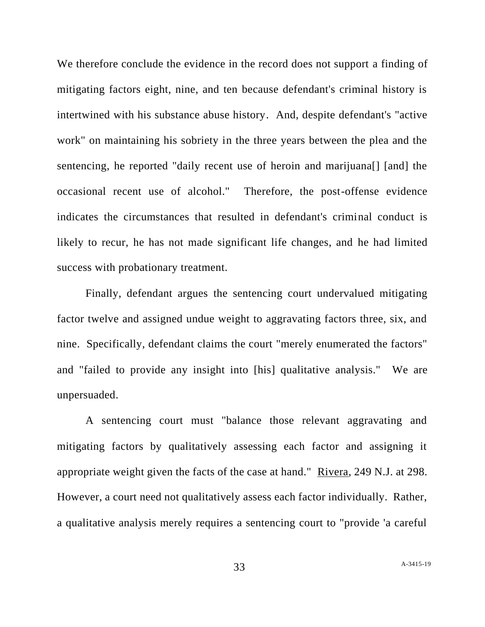We therefore conclude the evidence in the record does not support a finding of mitigating factors eight, nine, and ten because defendant's criminal history is intertwined with his substance abuse history. And, despite defendant's "active work" on maintaining his sobriety in the three years between the plea and the sentencing, he reported "daily recent use of heroin and marijuana[] [and] the occasional recent use of alcohol." Therefore, the post-offense evidence indicates the circumstances that resulted in defendant's criminal conduct is likely to recur, he has not made significant life changes, and he had limited success with probationary treatment.

Finally, defendant argues the sentencing court undervalued mitigating factor twelve and assigned undue weight to aggravating factors three, six, and nine. Specifically, defendant claims the court "merely enumerated the factors" and "failed to provide any insight into [his] qualitative analysis." We are unpersuaded.

A sentencing court must "balance those relevant aggravating and mitigating factors by qualitatively assessing each factor and assigning it appropriate weight given the facts of the case at hand." Rivera, 249 N.J. at 298. However, a court need not qualitatively assess each factor individually. Rather, a qualitative analysis merely requires a sentencing court to "provide 'a careful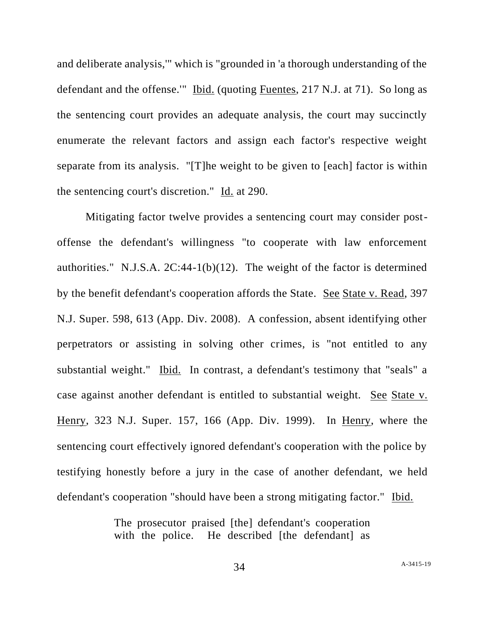and deliberate analysis,'" which is "grounded in 'a thorough understanding of the defendant and the offense.'" Ibid. (quoting Fuentes, 217 N.J. at 71). So long as the sentencing court provides an adequate analysis, the court may succinctly enumerate the relevant factors and assign each factor's respective weight separate from its analysis. "[T]he weight to be given to [each] factor is within the sentencing court's discretion." Id. at 290.

Mitigating factor twelve provides a sentencing court may consider postoffense the defendant's willingness "to cooperate with law enforcement authorities." N.J.S.A.  $2C:44-1(b)(12)$ . The weight of the factor is determined by the benefit defendant's cooperation affords the State. See State v. Read, 397 N.J. Super. 598, 613 (App. Div. 2008). A confession, absent identifying other perpetrators or assisting in solving other crimes, is "not entitled to any substantial weight." Ibid. In contrast, a defendant's testimony that "seals" a case against another defendant is entitled to substantial weight. See State v. Henry, 323 N.J. Super. 157, 166 (App. Div. 1999). In Henry, where the sentencing court effectively ignored defendant's cooperation with the police by testifying honestly before a jury in the case of another defendant, we held defendant's cooperation "should have been a strong mitigating factor." Ibid.

> The prosecutor praised [the] defendant's cooperation with the police. He described [the defendant] as

> > 34 A[-3415-19](#page-0-0)